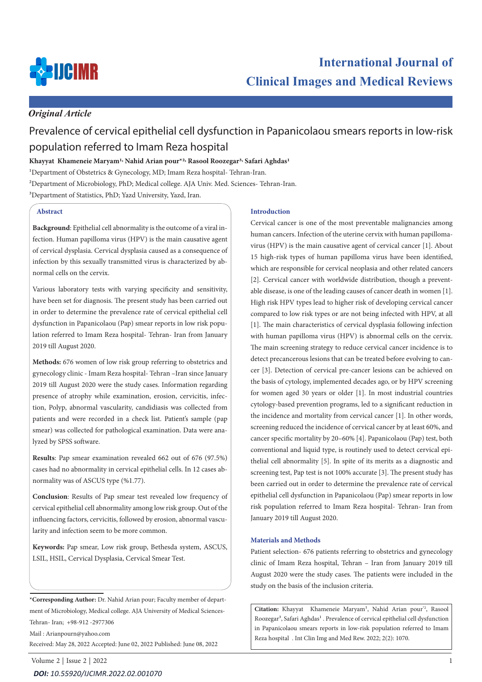

## *Original Article*

# Prevalence of cervical epithelial cell dysfunction in Papanicolaou smears reports in low-risk population referred to Imam Reza hospital

### **Khayyat Khameneie Maryam1, Nahid Arian pour\*2, Rasool Roozegar3, Safari Aghdas1**

<sup>1</sup>Department of Obstetrics & Gynecology, MD; Imam Reza hospital- Tehran-Iran.

2Department of Microbiology, PhD; Medical college. AJA Univ. Med. Sciences- Tehran-Iran.

3Department of Statistics, PhD; Yazd University, Yazd, Iran.

#### **Abstract**

**Background**: Epithelial cell abnormality is the outcome of a viral infection. Human papilloma virus (HPV) is the main causative agent of cervical dysplasia. Cervical dysplasia caused as a consequence of infection by this sexually transmitted virus is characterized by abnormal cells on the cervix.

Various laboratory tests with varying specificity and sensitivity, have been set for diagnosis. The present study has been carried out in order to determine the prevalence rate of cervical epithelial cell dysfunction in Papanicolaou (Pap) smear reports in low risk population referred to Imam Reza hospital- Tehran- Iran from January 2019 till August 2020.

**Methods:** 676 women of low risk group referring to obstetrics and gynecology clinic - Imam Reza hospital- Tehran –Iran since January 2019 till August 2020 were the study cases. Information regarding presence of atrophy while examination, erosion, cervicitis, infection, Polyp, abnormal vascularity, candidiasis was collected from patients and were recorded in a check list. Patient's sample (pap smear) was collected for pathological examination. Data were analyzed by SPSS software.

**Results**: Pap smear examination revealed 662 out of 676 (97.5%) cases had no abnormality in cervical epithelial cells. In 12 cases abnormality was of ASCUS type (%1.77).

**Conclusion**: Results of Pap smear test revealed low frequency of cervical epithelial cell abnormality among low risk group. Out of the influencing factors, cervicitis, followed by erosion, abnormal vascularity and infection seem to be more common.

**Keywords:** Pap smear, Low risk group, Bethesda system, ASCUS, LSIL, HSIL, Cervical Dysplasia, Cervical Smear Test.

**\*Corresponding Author:** Dr. Nahid Arian pour; Faculty member of department of Microbiology, Medical college. AJA University of Medical Sciences-Tehran- Iran; +98-912 -2977306

Mail : Arianpourn@yahoo.com Received: May 28, 2022 Accepted: June 02, 2022 Published: June 08, 2022

#### **Introduction**

Cervical cancer is one of the most preventable malignancies among human cancers. Infection of the uterine cervix with human papillomavirus (HPV) is the main causative agent of cervical cancer [1]. About 15 high-risk types of human papilloma virus have been identified, which are responsible for cervical neoplasia and other related cancers [2]. Cervical cancer with worldwide distribution, though a preventable disease, is one of the leading causes of cancer death in women [1]. High risk HPV types lead to higher risk of developing cervical cancer compared to low risk types or are not being infected with HPV, at all [1]. The main characteristics of cervical dysplasia following infection with human papilloma virus (HPV) is abnormal cells on the cervix. The main screening strategy to reduce cervical cancer incidence is to detect precancerous lesions that can be treated before evolving to cancer [3]. Detection of cervical pre-cancer lesions can be achieved on the basis of cytology, implemented decades ago, or by HPV screening for women aged 30 years or older [1]. In most industrial countries cytology-based prevention programs, led to a significant reduction in the incidence and mortality from cervical cancer [1]. In other words, screening reduced the incidence of cervical cancer by at least 60%, and cancer specific mortality by 20–60% [4]. Papanicolaou (Pap) test, both conventional and liquid type, is routinely used to detect cervical epithelial cell abnormality [5]. In spite of its merits as a diagnostic and screening test, Pap test is not 100% accurate [3]. The present study has been carried out in order to determine the prevalence rate of cervical epithelial cell dysfunction in Papanicolaou (Pap) smear reports in low risk population referred to Imam Reza hospital- Tehran- Iran from January 2019 till August 2020.

#### **Materials and Methods**

Patient selection- 676 patients referring to obstetrics and gynecology clinic of Imam Reza hospital, Tehran – Iran from January 2019 till August 2020 were the study cases. The patients were included in the study on the basis of the inclusion criteria.

**Citation:** Khayyat Khameneie Maryam1, Nahid Arian pour\*2, Rasool Roozegar<sup>3</sup>, Safari Aghdas<sup>1</sup>. Prevalence of cervical epithelial cell dysfunction in Papanicolaou smears reports in low-risk population referred to Imam Reza hospital . Int Clin Img and Med Rew. 2022; 2(2): 1070.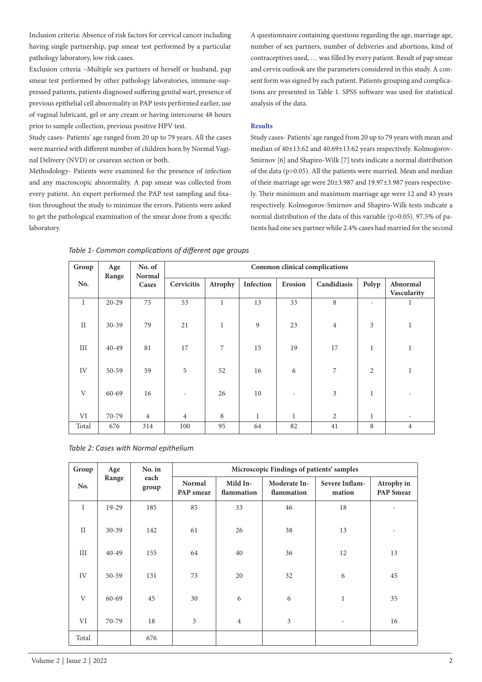Inclusion criteria: Absence of risk factors for cervical cancer including having single partnership, pap smear test performed by a particular pathology laboratory, low risk cases.

Exclusion criteria –Multiple sex partners of herself or husband, pap smear test performed by other pathology laboratories, immune-suppressed patients, patients diagnosed suffering genital wart, presence of previous epithelial cell abnormality in PAP tests performed earlier, use of vaginal lubricant, gel or any cream or having intercourse 48 hours prior to sample collection, previous positive HPV test.

Study cases- Patients' age ranged from 20 up to 79 years. All the cases were married with different number of children born by Normal Vaginal Delivery (NVD) or cesarean section or both.

Methodology- Patients were examined for the presence of infection and any macroscopic abnormality. A pap smear was collected from every patient. An expert performed the PAP test sampling and fixation throughout the study to minimize the errors. Patients were asked to get the pathological examination of the smear done from a specific laboratory.

A questionnaire containing questions regarding the age, marriage age, number of sex partners, number of deliveries and abortions, kind of contraceptives used, … was filled by every patient. Result of pap smear and cervix outlook are the parameters considered in this study. A consent form was signed by each patient. Patients grouping and complications are presented in Table 1. SPSS software was used for statistical analysis of the data.

#### **Results**

Study cases- Patients' age ranged from 20 up to 79 years with mean and median of 40±13.62 and 40.69±13.62 years respectively. Kolmogorov-Smirnov [6] and Shapiro-Wilk [7] tests indicate a normal distribution of the data (p>0.05). All the patients were married. Mean and median of their marriage age were 20±3.987 and 19.97±3.987 years respectively. Their minimum and maximum marriage age were 12 and 43 years respectively. Kolmogorov-Smirnov and Shapiro-Wilk tests indicate a normal distribution of the data of this variable (p>0.05). 97.5% of patients had one sex partner while 2.4% cases had married for the second

| Group        | Age<br>Range | No. of<br><b>Normal</b><br>Cases | Common clinical complications |              |              |              |                |                          |                         |  |
|--------------|--------------|----------------------------------|-------------------------------|--------------|--------------|--------------|----------------|--------------------------|-------------------------|--|
| No.          |              |                                  | Cervicitis                    | Atrophy      | Infection    | Erosion      | Candidiasis    | Polyp                    | Abnormal<br>Vascularity |  |
| I            | $20 - 29$    | 75                               | 53                            | $\mathbf{1}$ | 13           | 33           | 8              | $\overline{\phantom{a}}$ | 1                       |  |
| $\mathbf{I}$ | $30 - 39$    | 79                               | 21                            | $\mathbf{1}$ | 9            | 23           | $\overline{4}$ | 3                        | $\mathbf{1}$            |  |
| III          | $40 - 49$    | 81                               | 17                            | 7            | 15           | 19           | 17             | $\mathbf{1}$             | $\mathbf{1}$            |  |
| IV           | $50 - 59$    | 59                               | $\sqrt{5}$                    | 52           | 16           | 6            | 7              | $\overline{2}$           | $\mathbf{1}$            |  |
| $\mathbf{V}$ | $60 - 69$    | 16                               |                               | 26           | 10           |              | 3              | 1                        |                         |  |
| VI           | 70-79        | $\overline{4}$                   | $\overline{4}$                | 8            | $\mathbf{1}$ | $\mathbf{1}$ | $\overline{2}$ | 1                        |                         |  |
| Total        | 676          | 314                              | 100                           | 95           | 64           | 82           | 41             | 8                        | $\overline{4}$          |  |

*Table 1- Common complications of different age groups*

*Table 2: Cases with Normal epithelium*

| Group       | Age       | No. in        | Microscopic Findings of patients' samples |                        |                            |                          |                                |  |  |  |
|-------------|-----------|---------------|-------------------------------------------|------------------------|----------------------------|--------------------------|--------------------------------|--|--|--|
| No.         | Range     | each<br>group | <b>Normal</b><br>PAP smear                | Mild In-<br>flammation | Moderate In-<br>flammation | Severe Inflam-<br>mation | Atrophy in<br><b>PAP</b> Smear |  |  |  |
| $\mathbf I$ | $19-29$   | 185           | 85                                        | 33                     | 46                         | 18                       |                                |  |  |  |
| II          | $30 - 39$ | 142           | 61                                        | 26                     | 38                         | 13                       |                                |  |  |  |
| III         | $40 - 49$ | 155           | 64                                        | 40                     | 36                         | 12                       | 13                             |  |  |  |
| IV          | $50 - 59$ | 131           | 73                                        | 20                     | 32                         | 6                        | 45                             |  |  |  |
| V           | $60 - 69$ | 45            | 30                                        | 6                      | 6                          | $\mathbf{1}$             | 35                             |  |  |  |
| VI          | 70-79     | 18            | $\overline{3}$                            | $\overline{4}$         | 3                          | $\overline{\phantom{a}}$ | 16                             |  |  |  |
| Total       |           | 676           |                                           |                        |                            |                          |                                |  |  |  |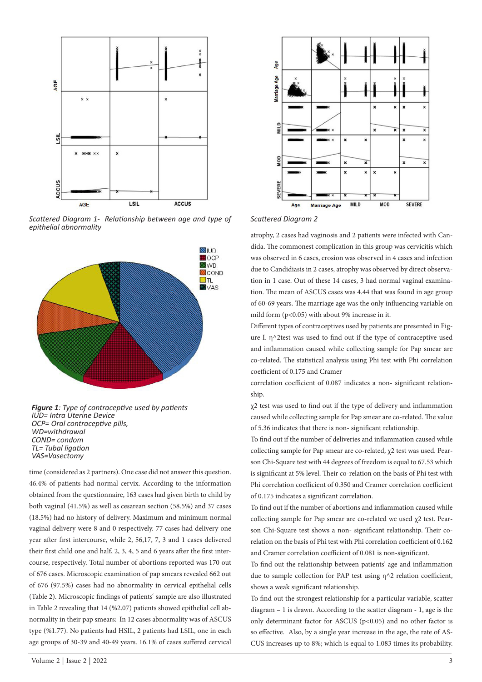

*Scattered Diagram 1- Relationship between age and type of epithelial abnormality* 



*Figure 1: Type of contraceptive used by patients IUD= Intra Uterine Device OCP= Oral contraceptive pills, WD=withdrawal COND= condom TL= Tubal ligation VAS=Vasectomy*

time (considered as 2 partners). One case did not answer this question. 46.4% of patients had normal cervix. According to the information obtained from the questionnaire, 163 cases had given birth to child by both vaginal (41.5%) as well as cesarean section (58.5%) and 37 cases (18.5%) had no history of delivery. Maximum and minimum normal vaginal delivery were 8 and 0 respectively. 77 cases had delivery one year after first intercourse, while 2, 56,17, 7, 3 and 1 cases delivered their first child one and half, 2, 3, 4, 5 and 6 years after the first intercourse, respectively. Total number of abortions reported was 170 out of 676 cases. Microscopic examination of pap smears revealed 662 out of 676 (97.5%) cases had no abnormality in cervical epithelial cells (Table 2). Microscopic findings of patients' sample are also illustrated in Table 2 revealing that 14 (%2.07) patients showed epithelial cell abnormality in their pap smears: In 12 cases abnormality was of ASCUS type (%1.77). No patients had HSIL, 2 patients had LSIL, one in each age groups of 30-39 and 40-49 years. 16.1% of cases suffered cervical





atrophy, 2 cases had vaginosis and 2 patients were infected with Candida. The commonest complication in this group was cervicitis which was observed in 6 cases, erosion was observed in 4 cases and infection due to Candidiasis in 2 cases, atrophy was observed by direct observation in 1 case. Out of these 14 cases, 3 had normal vaginal examination. The mean of ASCUS cases was 4.44 that was found in age group of 60-69 years. The marriage age was the only influencing variable on mild form (p<0.05) with about 9% increase in it.

Different types of contraceptives used by patients are presented in Figure I. η^2test was used to find out if the type of contraceptive used and inflammation caused while collecting sample for Pap smear are co-related. The statistical analysis using Phi test with Phi correlation coefficient of 0.175 and Cramer

correlation coefficient of 0.087 indicates a non- significant relationship.

χ2 test was used to find out if the type of delivery and inflammation caused while collecting sample for Pap smear are co-related. The value of 5.36 indicates that there is non- significant relationship.

To find out if the number of deliveries and inflammation caused while collecting sample for Pap smear are co-related, χ2 test was used. Pearson Chi-Square test with 44 degrees of freedom is equal to 67.53 which is significant at 5% level. Their co-relation on the basis of Phi test with Phi correlation coefficient of 0.350 and Cramer correlation coefficient of 0.175 indicates a significant correlation.

To find out if the number of abortions and inflammation caused while collecting sample for Pap smear are co-related we used χ2 test. Pearson Chi-Square test shows a non- significant relationship. Their corelation on the basis of Phi test with Phi correlation coefficient of 0.162 and Cramer correlation coefficient of 0.081 is non-significant.

To find out the relationship between patients' age and inflammation due to sample collection for PAP test using η^2 relation coefficient, shows a weak significant relationship.

To find out the strongest relationship for a particular variable, scatter diagram – 1 is drawn. According to the scatter diagram - 1, age is the only determinant factor for ASCUS (p<0.05) and no other factor is so effective. Also, by a single year increase in the age, the rate of AS-CUS increases up to 8%; which is equal to 1.083 times its probability.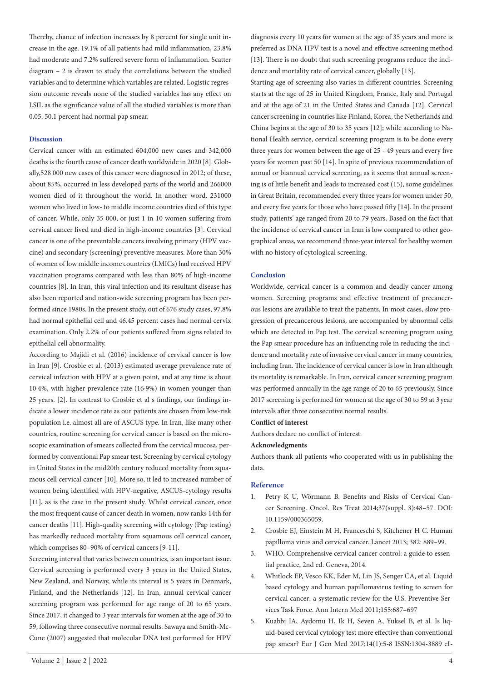Thereby, chance of infection increases by 8 percent for single unit increase in the age. 19.1% of all patients had mild inflammation, 23.8% had moderate and 7.2% suffered severe form of inflammation. Scatter diagram – 2 is drawn to study the correlations between the studied variables and to determine which variables are related. Logistic regression outcome reveals none of the studied variables has any effect on LSIL as the significance value of all the studied variables is more than 0.05. 50.1 percent had normal pap smear.

#### **Discussion**

Cervical cancer with an estimated 604,000 new cases and 342,000 deaths is the fourth cause of cancer death worldwide in 2020 [8]. Globally,528 000 new cases of this cancer were diagnosed in 2012; of these, about 85%, occurred in less developed parts of the world and 266000 women died of it throughout the world. In another word, 231000 women who lived in low- to middle income countries died of this type of cancer. While, only 35 000, or just 1 in 10 women suffering from cervical cancer lived and died in high-income countries [3]. Cervical cancer is one of the preventable cancers involving primary (HPV vaccine) and secondary (screening) preventive measures. More than 30% of women of low middle income countries (LMICs) had received HPV vaccination programs compared with less than 80% of high-income countries [8]. In Iran, this viral infection and its resultant disease has also been reported and nation-wide screening program has been performed since 1980s. In the present study, out of 676 study cases, 97.8% had normal epithelial cell and 46.45 percent cases had normal cervix examination. Only 2.2% of our patients suffered from signs related to epithelial cell abnormality.

According to Majidi et al. (2016) incidence of cervical cancer is low in Iran [9]. Crosbie et al. (2013) estimated average prevalence rate of cervical infection with HPV at a given point, and at any time is about 10·4%, with higher prevalence rate (16·9%) in women younger than 25 years. [2]. In contrast to Crosbie et al s findings, our findings indicate a lower incidence rate as our patients are chosen from low-risk population i.e. almost all are of ASCUS type. In Iran, like many other countries, routine screening for cervical cancer is based on the microscopic examination of smears collected from the cervical mucosa, performed by conventional Pap smear test. Screening by cervical cytology in United States in the mid20th century reduced mortality from squamous cell cervical cancer [10]. More so, it led to increased number of women being identified with HPV-negative, ASCUS-cytology results [11], as is the case in the present study. Whilst cervical cancer, once the most frequent cause of cancer death in women, now ranks 14th for cancer deaths [11]. High-quality screening with cytology (Pap testing) has markedly reduced mortality from squamous cell cervical cancer, which comprises 80–90% of cervical cancers [9-11].

Screening interval that varies between countries, is an important issue. Cervical screening is performed every 3 years in the United States, New Zealand, and Norway, while its interval is 5 years in Denmark, Finland, and the Netherlands [12]. In Iran, annual cervical cancer screening program was performed for age range of 20 to 65 years. Since 2017, it changed to 3 year intervals for women at the age of 30 to 59, following three consecutive normal results. Sawaya and Smith-Mc-Cune (2007) suggested that molecular DNA test performed for HPV

diagnosis every 10 years for women at the age of 35 years and more is preferred as DNA HPV test is a novel and effective screening method [13]. There is no doubt that such screening programs reduce the incidence and mortality rate of cervical cancer, globally [13].

Starting age of screening also varies in different countries. Screening starts at the age of 25 in United Kingdom, France, Italy and Portugal and at the age of 21 in the United States and Canada [12]. Cervical cancer screening in countries like Finland, Korea, the Netherlands and China begins at the age of 30 to 35 years [12]; while according to National Health service, cervical screening program is to be done every three years for women between the age of 25 - 49 years and every five years for women past 50 [14]. In spite of previous recommendation of annual or biannual cervical screening, as it seems that annual screening is of little benefit and leads to increased cost (15), some guidelines in Great Britain, recommended every three years for women under 50, and every five years for those who have passed fifty [14]. In the present study, patients' age ranged from 20 to 79 years. Based on the fact that the incidence of cervical cancer in Iran is low compared to other geographical areas, we recommend three-year interval for healthy women with no history of cytological screening.

#### **Conclusion**

Worldwide, cervical cancer is a common and deadly cancer among women. Screening programs and effective treatment of precancerous lesions are available to treat the patients. In most cases, slow progression of precancerous lesions, are accompanied by abnormal cells which are detected in Pap test. The cervical screening program using the Pap smear procedure has an influencing role in reducing the incidence and mortality rate of invasive cervical cancer in many countries, including Iran. The incidence of cervical cancer is low in Iran although its mortality is remarkable. In Iran, cervical cancer screening program was performed annually in the age range of 20 to 65 previously. Since 2017 screening is performed for women at the age of 30 to 59 at 3 year intervals after three consecutive normal results.

#### **Conflict of interest**

Authors declare no conflict of interest.

#### **Acknowledgments**

Authors thank all patients who cooperated with us in publishing the data.

#### **Reference**

- 1. Petry K U, Wörmann B. Benefits and Risks of Cervical Cancer Screening. Oncol. Res Treat 2014;37(suppl. 3):48–57. DOI: 10.1159/000365059.
- 2. Crosbie EJ, Einstein M H, Franceschi S, Kitchener H C. Human papilloma virus and cervical cancer. Lancet 2013; 382: 889–99.
- 3. WHO. Comprehensive cervical cancer control: a guide to essential practice, 2nd ed. Geneva, 2014.
- 4. Whitlock EP, Vesco KK, Eder M, Lin JS, Senger CA, et al. Liquid based cytology and human papillomavirus testing to screen for cervical cancer: a systematic review for the U.S. Preventive Services Task Force. Ann Intern Med 2011;155:687–697
- 5. Kuabbi IA, Aydomu H, Ik H, Seven A, Yüksel B, et al. Is liquid-based cervical cytology test more effective than conventional pap smear? Eur J Gen Med 2017;14(1):5-8 ISSN:1304-3889 eI-